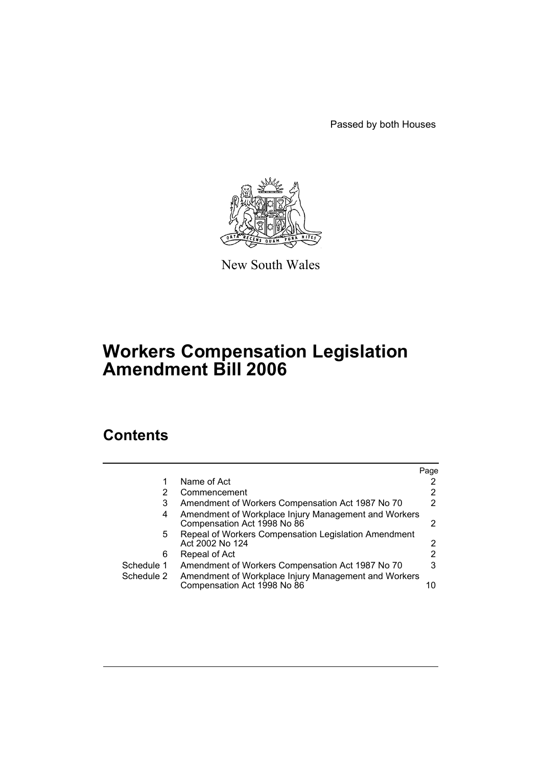Passed by both Houses



New South Wales

# **Workers Compensation Legislation Amendment Bill 2006**

# **Contents**

|            |                                                                                     | Page                 |
|------------|-------------------------------------------------------------------------------------|----------------------|
|            | Name of Act                                                                         | 2                    |
|            | Commencement                                                                        | 2                    |
| 3          | Amendment of Workers Compensation Act 1987 No 70                                    | 2                    |
| 4          | Amendment of Workplace Injury Management and Workers<br>Compensation Act 1998 No 86 | 2                    |
| 5.         | Repeal of Workers Compensation Legislation Amendment<br>Act 2002 No 124             | $\mathbf{2}^{\circ}$ |
| 6          | Repeal of Act                                                                       | 2                    |
| Schedule 1 | Amendment of Workers Compensation Act 1987 No 70                                    | 3                    |
| Schedule 2 | Amendment of Workplace Injury Management and Workers<br>Compensation Act 1998 No 86 | 10                   |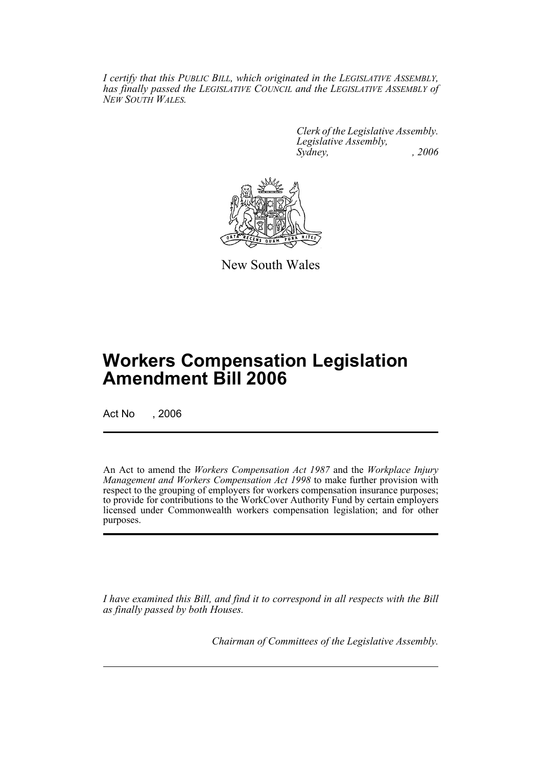*I certify that this PUBLIC BILL, which originated in the LEGISLATIVE ASSEMBLY, has finally passed the LEGISLATIVE COUNCIL and the LEGISLATIVE ASSEMBLY of NEW SOUTH WALES.*

> *Clerk of the Legislative Assembly. Legislative Assembly, Sydney, , 2006*



New South Wales

# **Workers Compensation Legislation Amendment Bill 2006**

Act No , 2006

An Act to amend the *Workers Compensation Act 1987* and the *Workplace Injury Management and Workers Compensation Act 1998* to make further provision with respect to the grouping of employers for workers compensation insurance purposes; to provide for contributions to the WorkCover Authority Fund by certain employers licensed under Commonwealth workers compensation legislation; and for other purposes.

*I have examined this Bill, and find it to correspond in all respects with the Bill as finally passed by both Houses.*

*Chairman of Committees of the Legislative Assembly.*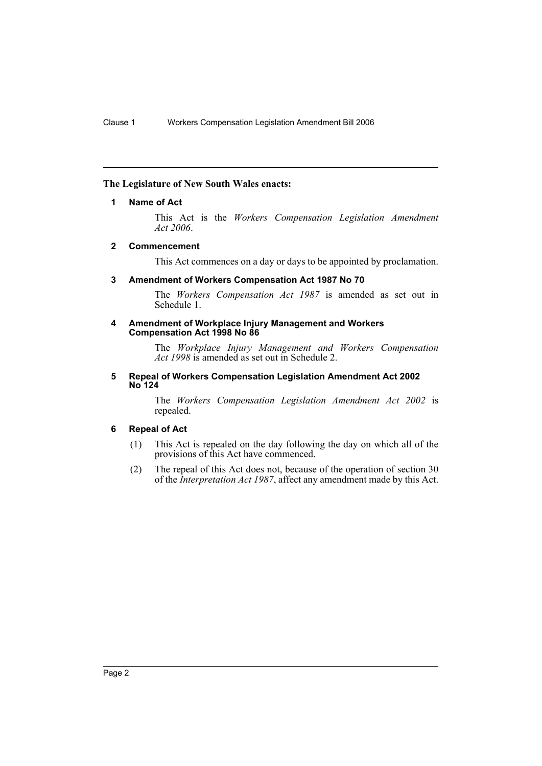## **The Legislature of New South Wales enacts:**

#### **1 Name of Act**

This Act is the *Workers Compensation Legislation Amendment Act 2006*.

## **2 Commencement**

This Act commences on a day or days to be appointed by proclamation.

## **3 Amendment of Workers Compensation Act 1987 No 70**

The *Workers Compensation Act 1987* is amended as set out in Schedule 1.

#### **4 Amendment of Workplace Injury Management and Workers Compensation Act 1998 No 86**

The *Workplace Injury Management and Workers Compensation Act 1998* is amended as set out in Schedule 2.

#### **5 Repeal of Workers Compensation Legislation Amendment Act 2002 No 124**

The *Workers Compensation Legislation Amendment Act 2002* is repealed.

## **6 Repeal of Act**

- (1) This Act is repealed on the day following the day on which all of the provisions of this Act have commenced.
- (2) The repeal of this Act does not, because of the operation of section 30 of the *Interpretation Act 1987*, affect any amendment made by this Act.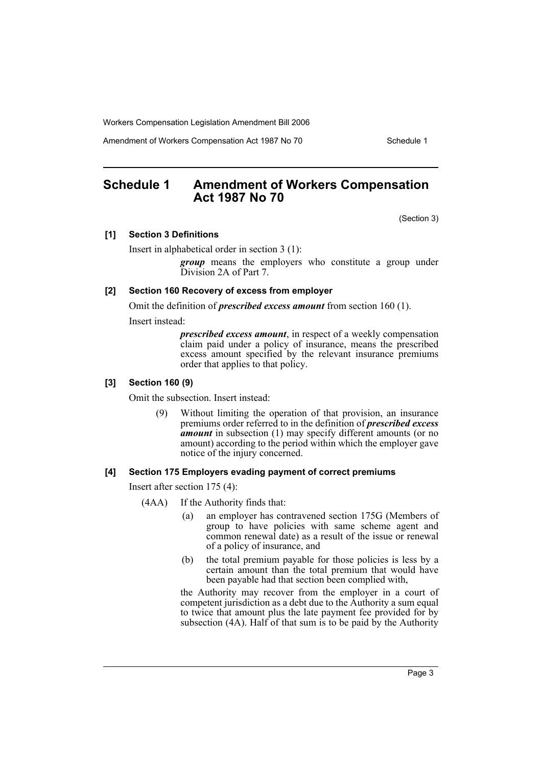Amendment of Workers Compensation Act 1987 No 70 Schedule 1

## **Schedule 1 Amendment of Workers Compensation Act 1987 No 70**

(Section 3)

#### **[1] Section 3 Definitions**

Insert in alphabetical order in section 3 (1):

*group* means the employers who constitute a group under Division 2A of Part 7.

#### **[2] Section 160 Recovery of excess from employer**

Omit the definition of *prescribed excess amount* from section 160 (1).

Insert instead:

*prescribed excess amount*, in respect of a weekly compensation claim paid under a policy of insurance, means the prescribed excess amount specified by the relevant insurance premiums order that applies to that policy.

#### **[3] Section 160 (9)**

Omit the subsection. Insert instead:

(9) Without limiting the operation of that provision, an insurance premiums order referred to in the definition of *prescribed excess amount* in subsection (1) may specify different amounts (or no amount) according to the period within which the employer gave notice of the injury concerned.

#### **[4] Section 175 Employers evading payment of correct premiums**

Insert after section 175 (4):

- (4AA) If the Authority finds that:
	- (a) an employer has contravened section 175G (Members of group to have policies with same scheme agent and common renewal date) as a result of the issue or renewal of a policy of insurance, and
	- (b) the total premium payable for those policies is less by a certain amount than the total premium that would have been payable had that section been complied with,

the Authority may recover from the employer in a court of competent jurisdiction as a debt due to the Authority a sum equal to twice that amount plus the late payment fee provided for by subsection  $(4A)$ . Half of that sum is to be paid by the Authority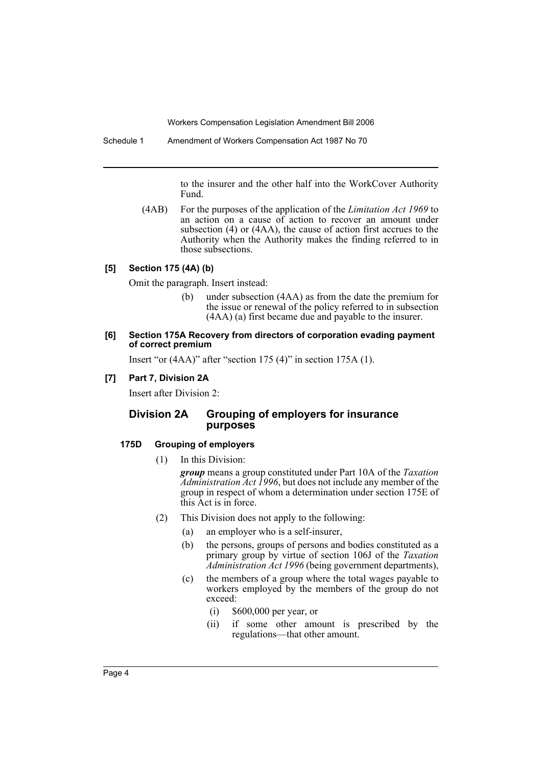to the insurer and the other half into the WorkCover Authority Fund.

(4AB) For the purposes of the application of the *Limitation Act 1969* to an action on a cause of action to recover an amount under subsection (4) or (4AA), the cause of action first accrues to the Authority when the Authority makes the finding referred to in those subsections.

## **[5] Section 175 (4A) (b)**

Omit the paragraph. Insert instead:

(b) under subsection (4AA) as from the date the premium for the issue or renewal of the policy referred to in subsection (4AA) (a) first became due and payable to the insurer.

#### **[6] Section 175A Recovery from directors of corporation evading payment of correct premium**

Insert "or (4AA)" after "section 175 (4)" in section 175A (1).

#### **[7] Part 7, Division 2A**

Insert after Division 2:

## **Division 2A Grouping of employers for insurance purposes**

#### **175D Grouping of employers**

(1) In this Division:

*group* means a group constituted under Part 10A of the *Taxation Administration Act 1996*, but does not include any member of the group in respect of whom a determination under section 175E of this Act is in force.

- (2) This Division does not apply to the following:
	- (a) an employer who is a self-insurer,
	- (b) the persons, groups of persons and bodies constituted as a primary group by virtue of section 106J of the *Taxation Administration Act 1996* (being government departments),
	- (c) the members of a group where the total wages payable to workers employed by the members of the group do not exceed:
		- (i) \$600,000 per year, or
		- (ii) if some other amount is prescribed by the regulations—that other amount.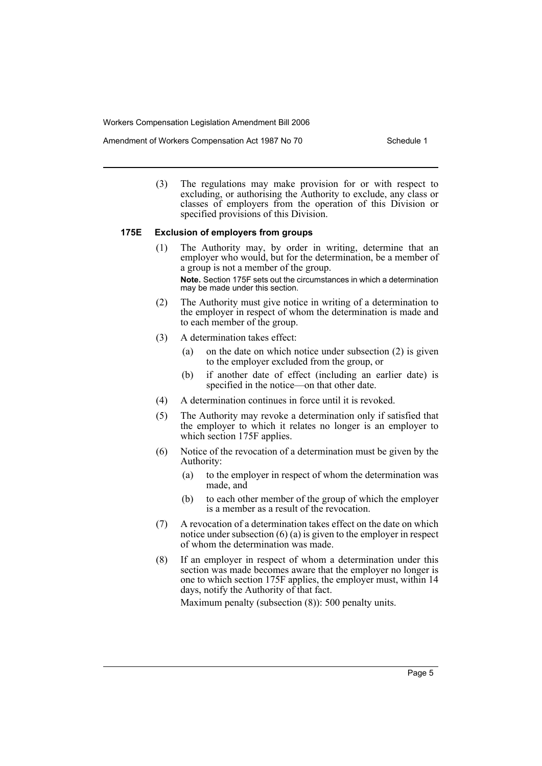Amendment of Workers Compensation Act 1987 No 70 Schedule 1

(3) The regulations may make provision for or with respect to excluding, or authorising the Authority to exclude, any class or classes of employers from the operation of this Division or specified provisions of this Division.

#### **175E Exclusion of employers from groups**

- (1) The Authority may, by order in writing, determine that an employer who would, but for the determination, be a member of a group is not a member of the group. **Note.** Section 175F sets out the circumstances in which a determination may be made under this section.
- (2) The Authority must give notice in writing of a determination to the employer in respect of whom the determination is made and to each member of the group.
- (3) A determination takes effect:
	- (a) on the date on which notice under subsection (2) is given to the employer excluded from the group, or
	- (b) if another date of effect (including an earlier date) is specified in the notice—on that other date.
- (4) A determination continues in force until it is revoked.
- (5) The Authority may revoke a determination only if satisfied that the employer to which it relates no longer is an employer to which section 175F applies.
- (6) Notice of the revocation of a determination must be given by the Authority:
	- (a) to the employer in respect of whom the determination was made, and
	- (b) to each other member of the group of which the employer is a member as a result of the revocation.
- (7) A revocation of a determination takes effect on the date on which notice under subsection (6) (a) is given to the employer in respect of whom the determination was made.
- (8) If an employer in respect of whom a determination under this section was made becomes aware that the employer no longer is one to which section 175F applies, the employer must, within 14 days, notify the Authority of that fact.

Maximum penalty (subsection (8)): 500 penalty units.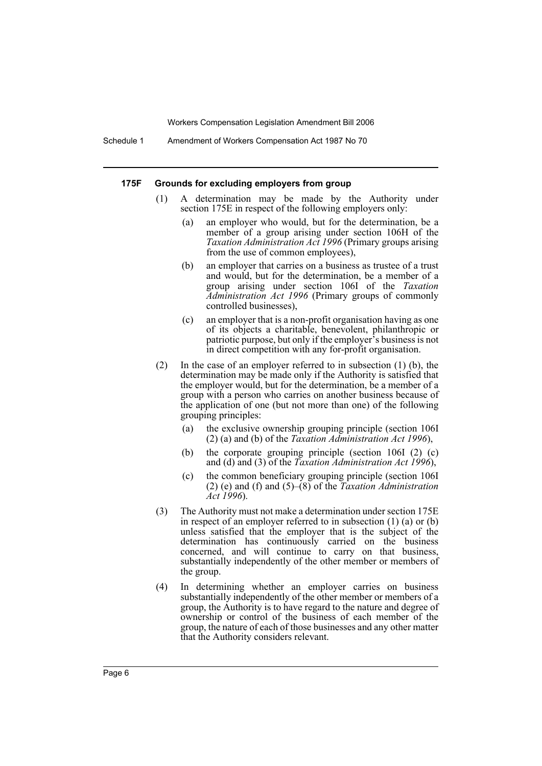Schedule 1 Amendment of Workers Compensation Act 1987 No 70

#### **175F Grounds for excluding employers from group**

- (1) A determination may be made by the Authority under section 175E in respect of the following employers only:
	- (a) an employer who would, but for the determination, be a member of a group arising under section 106H of the *Taxation Administration Act 1996* (Primary groups arising from the use of common employees),
	- (b) an employer that carries on a business as trustee of a trust and would, but for the determination, be a member of a group arising under section 106I of the *Taxation Administration Act 1996* (Primary groups of commonly controlled businesses),
	- (c) an employer that is a non-profit organisation having as one of its objects a charitable, benevolent, philanthropic or patriotic purpose, but only if the employer's business is not in direct competition with any for-profit organisation.
- (2) In the case of an employer referred to in subsection (1) (b), the determination may be made only if the Authority is satisfied that the employer would, but for the determination, be a member of a group with a person who carries on another business because of the application of one (but not more than one) of the following grouping principles:
	- (a) the exclusive ownership grouping principle (section 106I (2) (a) and (b) of the *Taxation Administration Act 1996*),
	- (b) the corporate grouping principle (section 106I (2) (c) and (d) and (3) of the *Taxation Administration Act 1996*),
	- (c) the common beneficiary grouping principle (section 106I (2) (e) and (f) and (5)–(8) of the *Taxation Administration Act 1996*).
- (3) The Authority must not make a determination under section 175E in respect of an employer referred to in subsection (1) (a) or (b) unless satisfied that the employer that is the subject of the determination has continuously carried on the business concerned, and will continue to carry on that business, substantially independently of the other member or members of the group.
- (4) In determining whether an employer carries on business substantially independently of the other member or members of a group, the Authority is to have regard to the nature and degree of ownership or control of the business of each member of the group, the nature of each of those businesses and any other matter that the Authority considers relevant.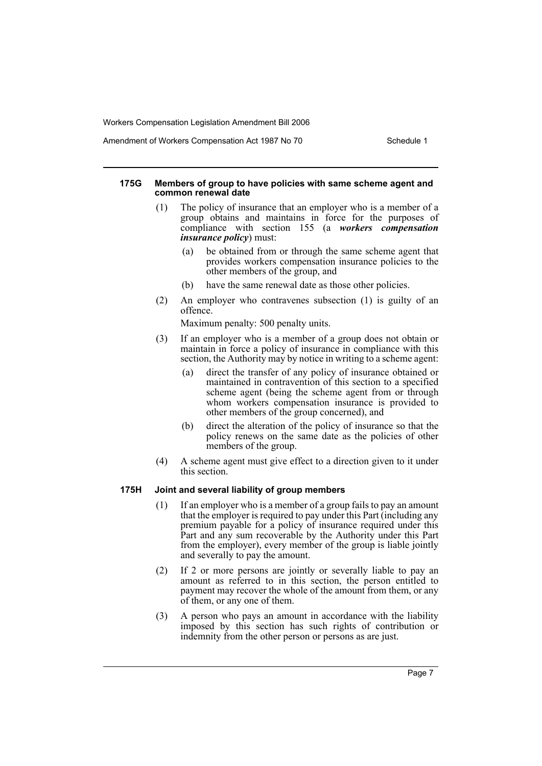Amendment of Workers Compensation Act 1987 No 70 Schedule 1

#### **175G Members of group to have policies with same scheme agent and common renewal date**

- (1) The policy of insurance that an employer who is a member of a group obtains and maintains in force for the purposes of compliance with section 155 (a *workers compensation insurance policy*) must:
	- (a) be obtained from or through the same scheme agent that provides workers compensation insurance policies to the other members of the group, and
	- (b) have the same renewal date as those other policies.
- (2) An employer who contravenes subsection (1) is guilty of an offence.

Maximum penalty: 500 penalty units.

- (3) If an employer who is a member of a group does not obtain or maintain in force a policy of insurance in compliance with this section, the Authority may by notice in writing to a scheme agent:
	- (a) direct the transfer of any policy of insurance obtained or maintained in contravention of this section to a specified scheme agent (being the scheme agent from or through whom workers compensation insurance is provided to other members of the group concerned), and
	- (b) direct the alteration of the policy of insurance so that the policy renews on the same date as the policies of other members of the group.
- (4) A scheme agent must give effect to a direction given to it under this section.

#### **175H Joint and several liability of group members**

- (1) If an employer who is a member of a group fails to pay an amount that the employer is required to pay under this Part (including any premium payable for a policy of insurance required under this Part and any sum recoverable by the Authority under this Part from the employer), every member of the group is liable jointly and severally to pay the amount.
- (2) If 2 or more persons are jointly or severally liable to pay an amount as referred to in this section, the person entitled to payment may recover the whole of the amount from them, or any of them, or any one of them.
- (3) A person who pays an amount in accordance with the liability imposed by this section has such rights of contribution or indemnity from the other person or persons as are just.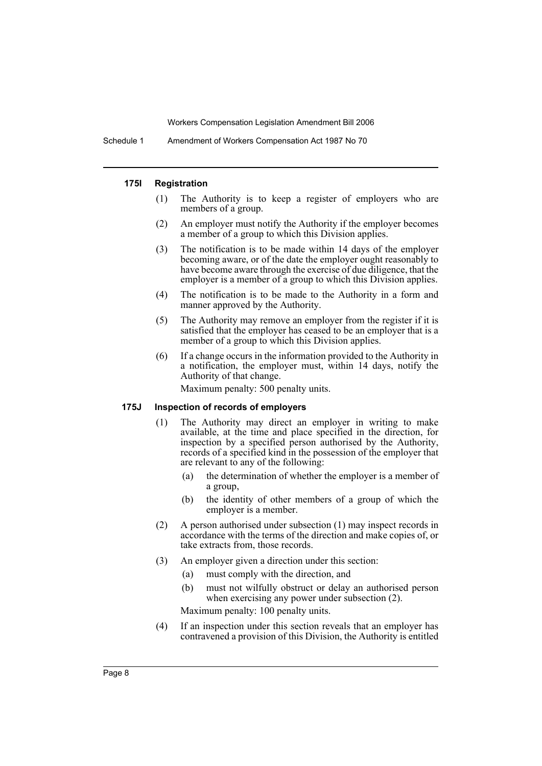Schedule 1 Amendment of Workers Compensation Act 1987 No 70

#### **175I Registration**

- (1) The Authority is to keep a register of employers who are members of a group.
- (2) An employer must notify the Authority if the employer becomes a member of a group to which this Division applies.
- (3) The notification is to be made within 14 days of the employer becoming aware, or of the date the employer ought reasonably to have become aware through the exercise of due diligence, that the employer is a member of a group to which this Division applies.
- (4) The notification is to be made to the Authority in a form and manner approved by the Authority.
- (5) The Authority may remove an employer from the register if it is satisfied that the employer has ceased to be an employer that is a member of a group to which this Division applies.
- (6) If a change occurs in the information provided to the Authority in a notification, the employer must, within 14 days, notify the Authority of that change.

Maximum penalty: 500 penalty units.

## **175J Inspection of records of employers**

- (1) The Authority may direct an employer in writing to make available, at the time and place specified in the direction, for inspection by a specified person authorised by the Authority, records of a specified kind in the possession of the employer that are relevant to any of the following:
	- (a) the determination of whether the employer is a member of a group,
	- (b) the identity of other members of a group of which the employer is a member.
- (2) A person authorised under subsection (1) may inspect records in accordance with the terms of the direction and make copies of, or take extracts from, those records.
- (3) An employer given a direction under this section:
	- (a) must comply with the direction, and
	- (b) must not wilfully obstruct or delay an authorised person when exercising any power under subsection (2).

Maximum penalty: 100 penalty units.

(4) If an inspection under this section reveals that an employer has contravened a provision of this Division, the Authority is entitled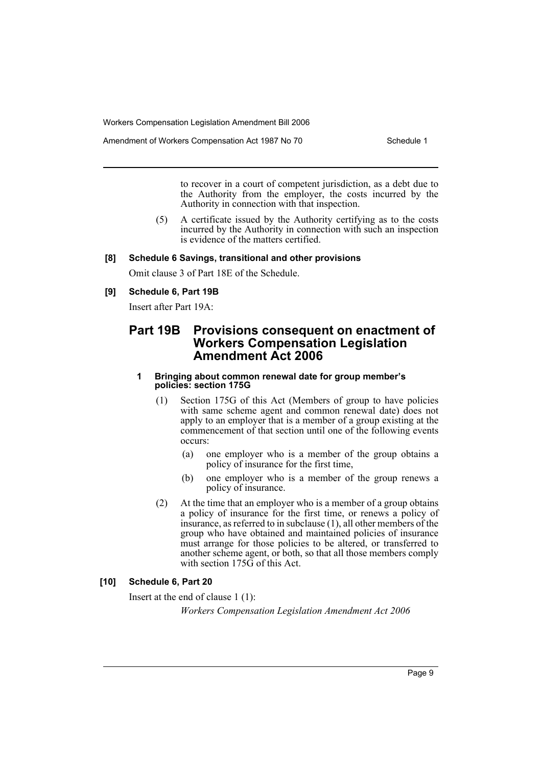Amendment of Workers Compensation Act 1987 No 70 Schedule 1

to recover in a court of competent jurisdiction, as a debt due to the Authority from the employer, the costs incurred by the Authority in connection with that inspection.

(5) A certificate issued by the Authority certifying as to the costs incurred by the Authority in connection with such an inspection is evidence of the matters certified.

#### **[8] Schedule 6 Savings, transitional and other provisions**

Omit clause 3 of Part 18E of the Schedule.

#### **[9] Schedule 6, Part 19B**

Insert after Part 19A:

## **Part 19B Provisions consequent on enactment of Workers Compensation Legislation Amendment Act 2006**

#### **1 Bringing about common renewal date for group member's policies: section 175G**

- (1) Section 175G of this Act (Members of group to have policies with same scheme agent and common renewal date) does not apply to an employer that is a member of a group existing at the commencement of that section until one of the following events occurs:
	- (a) one employer who is a member of the group obtains a policy of insurance for the first time,
	- (b) one employer who is a member of the group renews a policy of insurance.
- (2) At the time that an employer who is a member of a group obtains a policy of insurance for the first time, or renews a policy of insurance, as referred to in subclause (1), all other members of the group who have obtained and maintained policies of insurance must arrange for those policies to be altered, or transferred to another scheme agent, or both, so that all those members comply with section 175G of this Act.

## **[10] Schedule 6, Part 20**

Insert at the end of clause 1 (1):

*Workers Compensation Legislation Amendment Act 2006*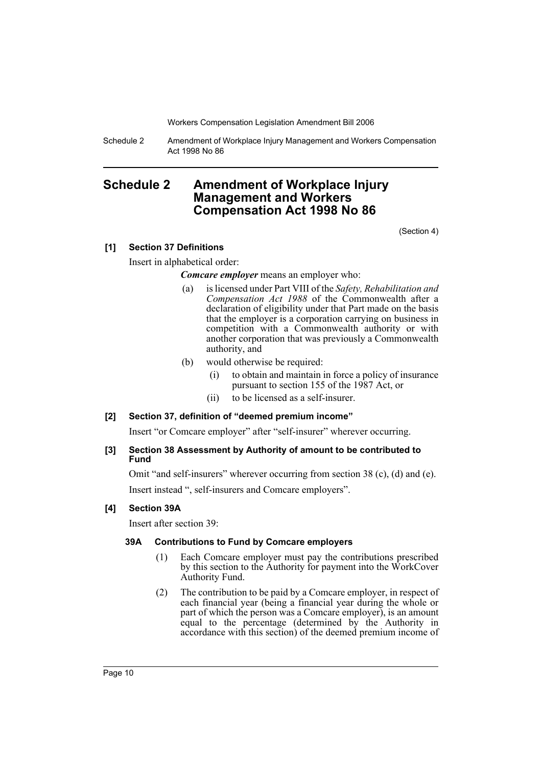Schedule 2 Amendment of Workplace Injury Management and Workers Compensation Act 1998 No 86

## **Schedule 2 Amendment of Workplace Injury Management and Workers Compensation Act 1998 No 86**

(Section 4)

## **[1] Section 37 Definitions**

Insert in alphabetical order:

*Comcare employer* means an employer who:

- (a) is licensed under Part VIII of the *Safety, Rehabilitation and Compensation Act 1988* of the Commonwealth after a declaration of eligibility under that Part made on the basis that the employer is a corporation carrying on business in competition with a Commonwealth authority or with another corporation that was previously a Commonwealth authority, and
- (b) would otherwise be required:
	- (i) to obtain and maintain in force a policy of insurance pursuant to section 155 of the 1987 Act, or
	- (ii) to be licensed as a self-insurer.

## **[2] Section 37, definition of "deemed premium income"**

Insert "or Comcare employer" after "self-insurer" wherever occurring.

## **[3] Section 38 Assessment by Authority of amount to be contributed to Fund**

Omit "and self-insurers" wherever occurring from section 38 (c), (d) and (e). Insert instead ", self-insurers and Comcare employers".

## **[4] Section 39A**

Insert after section 39:

## **39A Contributions to Fund by Comcare employers**

- (1) Each Comcare employer must pay the contributions prescribed by this section to the Authority for payment into the WorkCover Authority Fund.
- (2) The contribution to be paid by a Comcare employer, in respect of each financial year (being a financial year during the whole or part of which the person was a Comcare employer), is an amount equal to the percentage (determined by the Authority in accordance with this section) of the deemed premium income of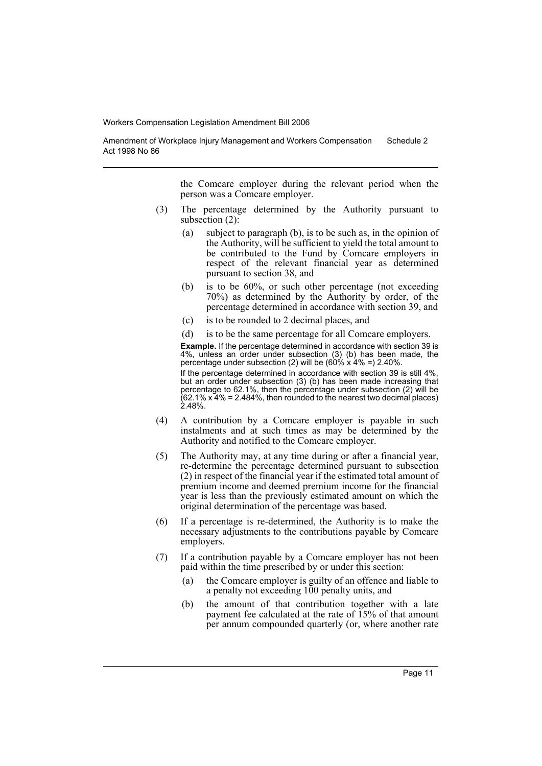Amendment of Workplace Injury Management and Workers Compensation Act 1998 No 86 Schedule 2

> the Comcare employer during the relevant period when the person was a Comcare employer.

- (3) The percentage determined by the Authority pursuant to subsection (2):
	- (a) subject to paragraph (b), is to be such as, in the opinion of the Authority, will be sufficient to yield the total amount to be contributed to the Fund by Comcare employers in respect of the relevant financial year as determined pursuant to section 38, and
	- (b) is to be 60%, or such other percentage (not exceeding 70%) as determined by the Authority by order, of the percentage determined in accordance with section 39, and
	- (c) is to be rounded to 2 decimal places, and

(d) is to be the same percentage for all Comcare employers. **Example.** If the percentage determined in accordance with section 39 is 4%, unless an order under subsection (3) (b) has been made, the percentage under subsection (2) will be (60% x 4% =) 2.40%.

If the percentage determined in accordance with section 39 is still 4%, but an order under subsection (3) (b) has been made increasing that percentage to 62.1%, then the percentage under subsection (2) will be  $(62.1\% \times 4\% = 2.484\%,$  then rounded to the nearest two decimal places) 2.48%.

- (4) A contribution by a Comcare employer is payable in such instalments and at such times as may be determined by the Authority and notified to the Comcare employer.
- (5) The Authority may, at any time during or after a financial year, re-determine the percentage determined pursuant to subsection (2) in respect of the financial year if the estimated total amount of premium income and deemed premium income for the financial year is less than the previously estimated amount on which the original determination of the percentage was based.
- (6) If a percentage is re-determined, the Authority is to make the necessary adjustments to the contributions payable by Comcare employers.
- (7) If a contribution payable by a Comcare employer has not been paid within the time prescribed by or under this section:
	- (a) the Comcare employer is guilty of an offence and liable to a penalty not exceeding 100 penalty units, and
	- (b) the amount of that contribution together with a late payment fee calculated at the rate of 15% of that amount per annum compounded quarterly (or, where another rate